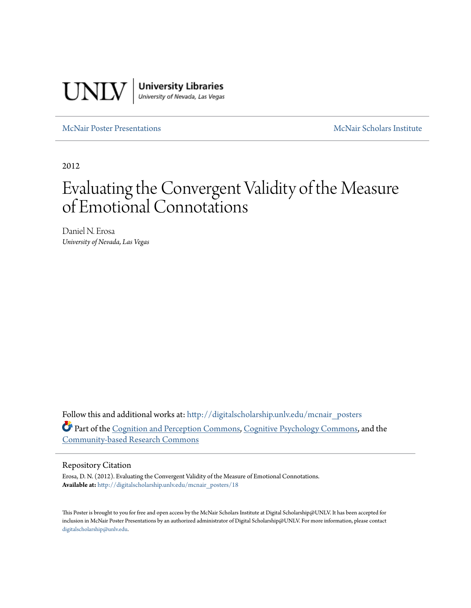

[McNair Poster Presentations](http://digitalscholarship.unlv.edu/mcnair_posters?utm_source=digitalscholarship.unlv.edu%2Fmcnair_posters%2F18&utm_medium=PDF&utm_campaign=PDFCoverPages) [McNair Scholars Institute](http://digitalscholarship.unlv.edu/mcnair_scholars?utm_source=digitalscholarship.unlv.edu%2Fmcnair_posters%2F18&utm_medium=PDF&utm_campaign=PDFCoverPages)

2012

### Evaluating the Convergent Validity of the Measure of Emotional Connotations

Daniel N. Erosa *University of Nevada, Las Vegas*

Follow this and additional works at: [http://digitalscholarship.unlv.edu/mcnair\\_posters](http://digitalscholarship.unlv.edu/mcnair_posters?utm_source=digitalscholarship.unlv.edu%2Fmcnair_posters%2F18&utm_medium=PDF&utm_campaign=PDFCoverPages) Part of the [Cognition and Perception Commons](http://network.bepress.com/hgg/discipline/407?utm_source=digitalscholarship.unlv.edu%2Fmcnair_posters%2F18&utm_medium=PDF&utm_campaign=PDFCoverPages), [Cognitive Psychology Commons](http://network.bepress.com/hgg/discipline/408?utm_source=digitalscholarship.unlv.edu%2Fmcnair_posters%2F18&utm_medium=PDF&utm_campaign=PDFCoverPages), and the [Community-based Research Commons](http://network.bepress.com/hgg/discipline/1047?utm_source=digitalscholarship.unlv.edu%2Fmcnair_posters%2F18&utm_medium=PDF&utm_campaign=PDFCoverPages)

### Repository Citation

Erosa, D. N. (2012). Evaluating the Convergent Validity of the Measure of Emotional Connotations. **Available at:** [http://digitalscholarship.unlv.edu/mcnair\\_posters/18](http://digitalscholarship.unlv.edu/mcnair_posters/18)

This Poster is brought to you for free and open access by the McNair Scholars Institute at Digital Scholarship@UNLV. It has been accepted for inclusion in McNair Poster Presentations by an authorized administrator of Digital Scholarship@UNLV. For more information, please contact [digitalscholarship@unlv.edu.](mailto:digitalscholarship@unlv.edu)